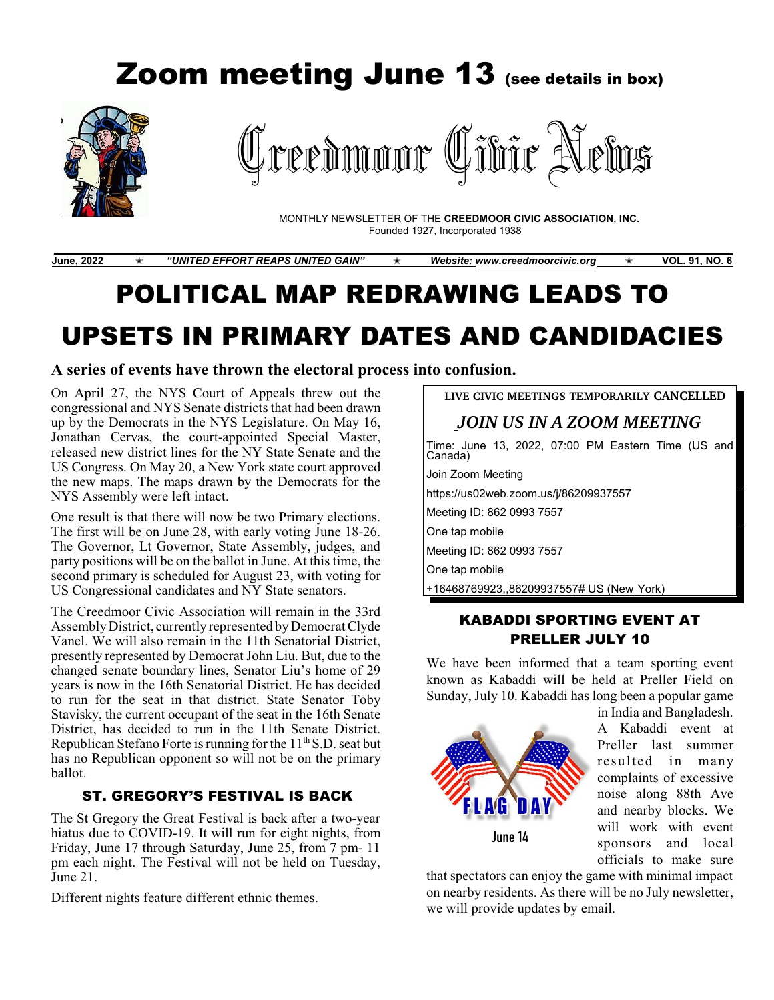# *Zoom meeting June 13 (see details in box)*  reedmoor Cibir News MONTHLY NEWSLETTER OF THE **CREEDMOOR CIVIC ASSOCIATION, INC.** Founded 1927, Incorporated 1938 **\_\_\_\_\_\_\_\_\_\_\_\_\_\_\_\_\_\_\_\_\_\_\_\_\_\_\_\_\_\_\_\_\_\_\_\_\_\_\_\_\_\_\_\_\_\_\_\_\_\_\_\_\_\_\_\_\_\_\_\_\_\_\_\_\_\_\_\_\_\_\_\_\_\_\_\_\_\_\_\_**

**June, 2022**n *"UNITED EFFORT REAPS UNITED GAIN"* n *Website: [www.creedmoorcivic.org](http://www.info@creedmoor)* n **VOL. 91, NO. 6**

# POLITICAL MAP REDRAWING LEADS TO UPSETS IN PRIMARY DATES AND CANDIDACIES

#### **A series of events have thrown the electoral process into confusion.**

On April 27, the NYS Court of Appeals threw out the congressional and NYS Senate districts that had been drawn up by the Democrats in the NYS Legislature. On May 16, Jonathan Cervas, the court-appointed Special Master, released new district lines for the NY State Senate and the US Congress. On May 20, a New York state court approved the new maps. The maps drawn by the Democrats for the NYS Assembly were left intact.

One result is that there will now be two Primary elections. The first will be on June 28, with early voting June 18-26. The Governor, Lt Governor, State Assembly, judges, and party positions will be on the ballot in June. At this time, the second primary is scheduled for August 23, with voting for US Congressional candidates and NY State senators.

The Creedmoor Civic Association will remain in the 33rd Assembly District, currently represented by Democrat Clyde Vanel. We will also remain in the 11th Senatorial District, presently represented by Democrat John Liu. But, due to the changed senate boundary lines, Senator Liu's home of 29 years is now in the 16th Senatorial District. He has decided to run for the seat in that district. State Senator Toby Stavisky, the current occupant of the seat in the 16th Senate District, has decided to run in the 11th Senate District. Republican Stefano Forte is running for the  $11<sup>th</sup>$  S.D. seat but has no Republican opponent so will not be on the primary ballot.

# ST. GREGORY'S FESTIVAL IS BACK

The St Gregory the Great Festival is back after a two-year hiatus due to COVID-19. It will run for eight nights, from Friday, June 17 through Saturday, June 25, from 7 pm- 11 pm each night. The Festival will not be held on Tuesday, June 21.

Different nights feature different ethnic themes.

**LIVE CIVIC MEETINGS TEMPORARILY CANCELLED** *JOIN US IN A ZOOM MEETING* Time: June 13, 2022, 07:00 PM Eastern Time (US and Canada) Join Zoom Meeting https://us02web.zoom.us/j/86209937557 Meeting ID: 862 0993 7557 One tap mobile Meeting ID: 862 0993 7557 One tap mobile +16468769923,,86209937557# US (New York)

# KABADDI SPORTING EVENT AT PRELLER JULY 10

We have been informed that a team sporting event known as Kabaddi will be held at Preller Field on Sunday, July 10. Kabaddi has long been a popular game



in India and Bangladesh. A Kabaddi event at Preller last summer re sulted in many complaints of excessive noise along 88th Ave and nearby blocks. We will work with event sponsors and local officials to make sure

that spectators can enjoy the game with minimal impact on nearby residents. As there will be no July newsletter, we will provide updates by email.